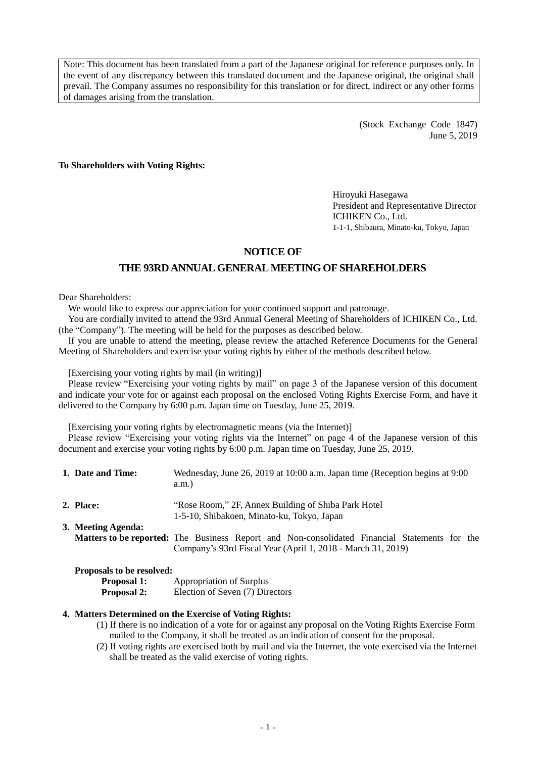Note: This document has been translated from a part of the Japanese original for reference purposes only. In the event of any discrepancy between this translated document and the Japanese original, the original shall prevail. The Company assumes no responsibility for this translation or for direct, indirect or any other forms of damages arising from the translation.

> (Stock Exchange Code 1847) June 5, 2019

**To Shareholders with Voting Rights:**

Hiroyuki Hasegawa President and Representative Director ICHIKEN Co., Ltd. 1-1-1, Shibaura, Minato-ku, Tokyo, Japan

## **NOTICE OF**

## **THE 93RDANNUAL GENERAL MEETING OF SHAREHOLDERS**

Dear Shareholders:

We would like to express our appreciation for your continued support and patronage.

You are cordially invited to attend the 93rd Annual General Meeting of Shareholders of ICHIKEN Co., Ltd. (the "Company"). The meeting will be held for the purposes as described below.

If you are unable to attend the meeting, please review the attached Reference Documents for the General Meeting of Shareholders and exercise your voting rights by either of the methods described below.

[Exercising your voting rights by mail (in writing)]

Please review "Exercising your voting rights by mail" on page 3 of the Japanese version of this document and indicate your vote for or against each proposal on the enclosed Voting Rights Exercise Form, and have it delivered to the Company by 6:00 p.m. Japan time on Tuesday, June 25, 2019.

[Exercising your voting rights by electromagnetic means (via the Internet)]

Please review "Exercising your voting rights via the Internet" on page 4 of the Japanese version of this document and exercise your voting rights by 6:00 p.m. Japan time on Tuesday, June 25, 2019.

| 1. Date and Time:                                                                          | Wednesday, June 26, 2019 at 10:00 a.m. Japan time (Reception begins at 9:00)<br>a.m.                                                                                |
|--------------------------------------------------------------------------------------------|---------------------------------------------------------------------------------------------------------------------------------------------------------------------|
| 2. Place:                                                                                  | "Rose Room," 2F, Annex Building of Shiba Park Hotel"<br>1-5-10, Shibakoen, Minato-ku, Tokyo, Japan                                                                  |
| 3. Meeting Agenda:                                                                         | <b>Matters to be reported:</b> The Business Report and Non-consolidated Financial Statements for the<br>Company's 93rd Fiscal Year (April 1, 2018 - March 31, 2019) |
| $\mathbf{r}$ $\mathbf{r}$ $\mathbf{r}$ $\mathbf{r}$ $\mathbf{r}$ $\mathbf{r}$ $\mathbf{r}$ |                                                                                                                                                                     |

### **Proposals to be resolved:**

**Proposal 1:** Appropriation of Surplus

**Proposal 2:** Election of Seven (7) Directors

#### **4. Matters Determined on the Exercise of Voting Rights:**

- (1) If there is no indication of a vote for or against any proposal on the Voting Rights Exercise Form mailed to the Company, it shall be treated as an indication of consent for the proposal.
- (2) If voting rights are exercised both by mail and via the Internet, the vote exercised via the Internet shall be treated as the valid exercise of voting rights.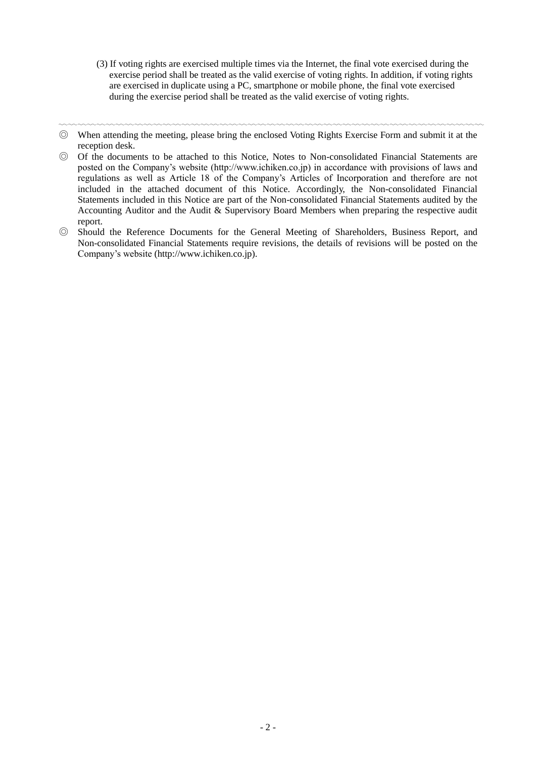(3) If voting rights are exercised multiple times via the Internet, the final vote exercised during the exercise period shall be treated as the valid exercise of voting rights. In addition, if voting rights are exercised in duplicate using a PC, smartphone or mobile phone, the final vote exercised during the exercise period shall be treated as the valid exercise of voting rights.

◎ Of the documents to be attached to this Notice, Notes to Non-consolidated Financial Statements are posted on the Company's website (http://www.ichiken.co.jp) in accordance with provisions of laws and regulations as well as Article 18 of the Company's Articles of Incorporation and therefore are not included in the attached document of this Notice. Accordingly, the Non-consolidated Financial Statements included in this Notice are part of the Non-consolidated Financial Statements audited by the Accounting Auditor and the Audit & Supervisory Board Members when preparing the respective audit report.

<sup>〰〰〰〰〰〰〰〰〰〰〰〰〰〰〰〰〰〰〰〰〰〰〰〰〰〰〰〰〰〰〰〰〰〰〰〰〰〰〰〰〰〰〰〰〰</sup> ◎ When attending the meeting, please bring the enclosed Voting Rights Exercise Form and submit it at the reception desk.

<sup>◎</sup> Should the Reference Documents for the General Meeting of Shareholders, Business Report, and Non-consolidated Financial Statements require revisions, the details of revisions will be posted on the Company's website (http://www.ichiken.co.jp).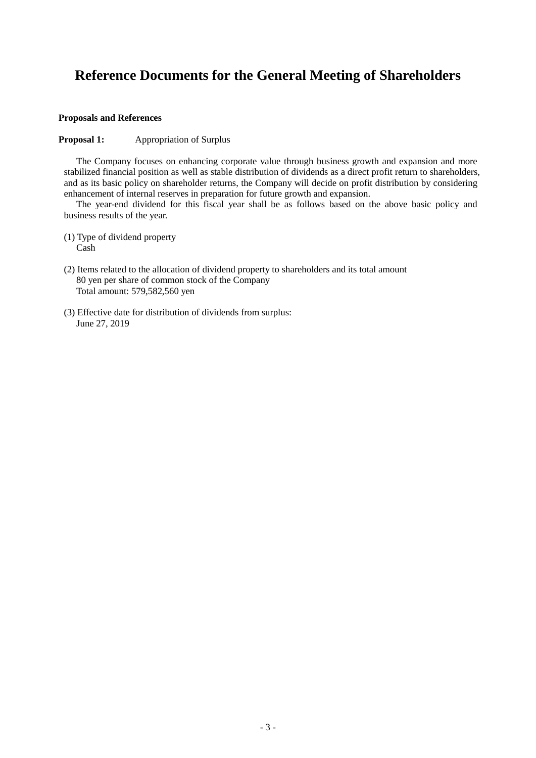# **Reference Documents for the General Meeting of Shareholders**

### **Proposals and References**

### **Proposal 1:** Appropriation of Surplus

The Company focuses on enhancing corporate value through business growth and expansion and more stabilized financial position as well as stable distribution of dividends as a direct profit return to shareholders, and as its basic policy on shareholder returns, the Company will decide on profit distribution by considering enhancement of internal reserves in preparation for future growth and expansion.

The year-end dividend for this fiscal year shall be as follows based on the above basic policy and business results of the year.

(1) Type of dividend property Cash

- (2) Items related to the allocation of dividend property to shareholders and its total amount 80 yen per share of common stock of the Company Total amount: 579,582,560 yen
- (3) Effective date for distribution of dividends from surplus: June 27, 2019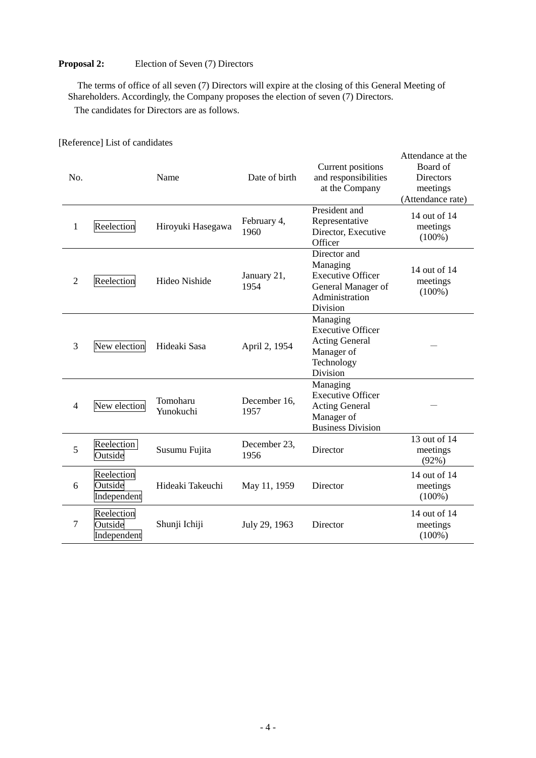### **Proposal 2:** Election of Seven (7) Directors

The terms of office of all seven (7) Directors will expire at the closing of this General Meeting of Shareholders. Accordingly, the Company proposes the election of seven (7) Directors. The candidates for Directors are as follows.

No. Name Date of birth Current positions and responsibilities at the Company Attendance at the Board of **Directors** meetings (Attendance rate) 1 Reelection Hiroyuki Hasegawa February 4, 1960 President and Representative Director, Executive **Officer** 14 out of 14 meetings (100%) 2 Reelection Hideo Nishide January 21, 1954 Director and Managing Executive Officer General Manager of Administration Division 14 out of 14 meetings  $(100\%)$ 3 New election Hideaki Sasa April 2, 1954 Managing Executive Officer Acting General Manager of Technology Division - <sup>4</sup> New election Tomoharu Yunokuchi December 16, 1957 Managing Executive Officer Acting General Manager of Business Division - 5 Reelection Reelection Susumu Fujita December 23,<br>
Outside Susumu Fujita 1956 Director 13 out of 14 meetings (92%) 6 Reelection Outside Independent Hideaki Takeuchi May 11, 1959 Director 14 out of 14 meetings (100%) 7 Reelection Outside Independent Shunji Ichiji July 29, 1963 Director 14 out of 14 meetings (100%)

[Reference] List of candidates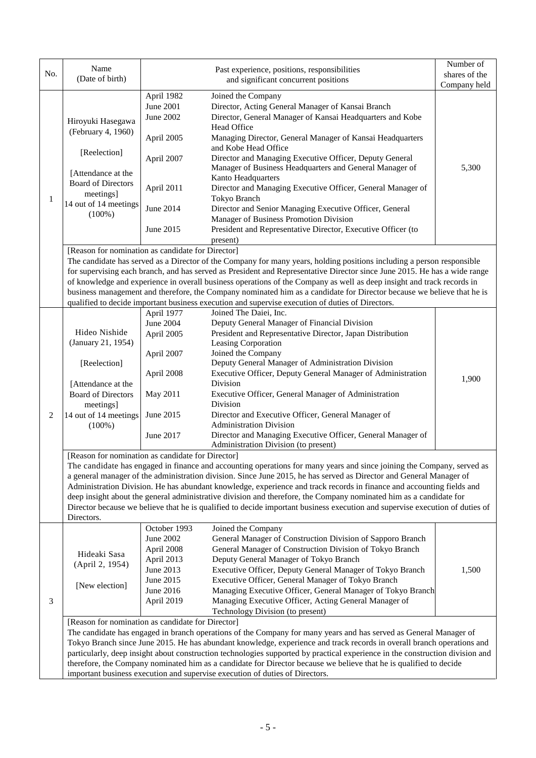| No.    | Name<br>(Date of birth)                                                                                                                                                                                                                                                                                                                                                                                                                                                                                                                                                                                                                 |                                                                                                                 | Past experience, positions, responsibilities<br>and significant concurrent positions                                                                                                                                                                                                                                                                                                                                                                                                                                                                                                                                                                                                                          | Number of<br>shares of the<br>Company held |  |  |
|--------|-----------------------------------------------------------------------------------------------------------------------------------------------------------------------------------------------------------------------------------------------------------------------------------------------------------------------------------------------------------------------------------------------------------------------------------------------------------------------------------------------------------------------------------------------------------------------------------------------------------------------------------------|-----------------------------------------------------------------------------------------------------------------|---------------------------------------------------------------------------------------------------------------------------------------------------------------------------------------------------------------------------------------------------------------------------------------------------------------------------------------------------------------------------------------------------------------------------------------------------------------------------------------------------------------------------------------------------------------------------------------------------------------------------------------------------------------------------------------------------------------|--------------------------------------------|--|--|
| 1<br>2 | Hiroyuki Hasegawa<br>(February 4, 1960)<br>[Reelection]<br>[Attendance at the<br><b>Board of Directors</b><br>meetings]<br>14 out of 14 meetings<br>$(100\%)$<br>[Reason for nomination as candidate for Director]                                                                                                                                                                                                                                                                                                                                                                                                                      | April 1982<br>June 2001<br><b>June 2002</b><br>April 2005<br>April 2007<br>April 2011<br>June 2014<br>June 2015 | Joined the Company<br>Director, Acting General Manager of Kansai Branch<br>Director, General Manager of Kansai Headquarters and Kobe<br>Head Office<br>Managing Director, General Manager of Kansai Headquarters<br>and Kobe Head Office<br>Director and Managing Executive Officer, Deputy General<br>Manager of Business Headquarters and General Manager of<br>Kanto Headquarters<br>Director and Managing Executive Officer, General Manager of<br>Tokyo Branch<br>Director and Senior Managing Executive Officer, General<br>Manager of Business Promotion Division<br>President and Representative Director, Executive Officer (to<br>present)                                                          | 5,300                                      |  |  |
|        | The candidate has served as a Director of the Company for many years, holding positions including a person responsible<br>for supervising each branch, and has served as President and Representative Director since June 2015. He has a wide range<br>of knowledge and experience in overall business operations of the Company as well as deep insight and track records in<br>business management and therefore, the Company nominated him as a candidate for Director because we believe that he is<br>qualified to decide important business execution and supervise execution of duties of Directors.                             |                                                                                                                 |                                                                                                                                                                                                                                                                                                                                                                                                                                                                                                                                                                                                                                                                                                               |                                            |  |  |
|        | Hideo Nishide<br>(January 21, 1954)<br>[Reelection]<br>[Attendance at the<br><b>Board of Directors</b><br>meetings]<br>14 out of 14 meetings<br>$(100\%)$<br>[Reason for nomination as candidate for Director]                                                                                                                                                                                                                                                                                                                                                                                                                          | April 1977<br>June 2004<br>April 2005<br>April 2007<br>April 2008<br>May 2011<br>June 2015<br>June 2017         | Joined The Daiei, Inc.<br>Deputy General Manager of Financial Division<br>President and Representative Director, Japan Distribution<br>Leasing Corporation<br>Joined the Company<br>Deputy General Manager of Administration Division<br>Executive Officer, Deputy General Manager of Administration<br>Division<br>Executive Officer, General Manager of Administration<br>Division<br>Director and Executive Officer, General Manager of<br><b>Administration Division</b><br>Director and Managing Executive Officer, General Manager of<br>Administration Division (to present)<br>The candidate has engaged in finance and accounting operations for many years and since joining the Company, served as | 1,900                                      |  |  |
|        | a general manager of the administration division. Since June 2015, he has served as Director and General Manager of<br>Administration Division. He has abundant knowledge, experience and track records in finance and accounting fields and<br>deep insight about the general administrative division and therefore, the Company nominated him as a candidate for<br>Director because we believe that he is qualified to decide important business execution and supervise execution of duties of<br>Directors.                                                                                                                        |                                                                                                                 |                                                                                                                                                                                                                                                                                                                                                                                                                                                                                                                                                                                                                                                                                                               |                                            |  |  |
| 3      | Hideaki Sasa<br>(April 2, 1954)<br>[New election]                                                                                                                                                                                                                                                                                                                                                                                                                                                                                                                                                                                       | October 1993<br>June 2002<br>April 2008<br>April 2013<br>June 2013<br>June 2015<br>June 2016<br>April 2019      | Joined the Company<br>General Manager of Construction Division of Sapporo Branch<br>General Manager of Construction Division of Tokyo Branch<br>Deputy General Manager of Tokyo Branch<br>Executive Officer, Deputy General Manager of Tokyo Branch<br>Executive Officer, General Manager of Tokyo Branch<br>Managing Executive Officer, General Manager of Tokyo Branch<br>Managing Executive Officer, Acting General Manager of<br>Technology Division (to present)                                                                                                                                                                                                                                         | 1,500                                      |  |  |
|        | [Reason for nomination as candidate for Director]<br>The candidate has engaged in branch operations of the Company for many years and has served as General Manager of<br>Tokyo Branch since June 2015. He has abundant knowledge, experience and track records in overall branch operations and<br>particularly, deep insight about construction technologies supported by practical experience in the construction division and<br>therefore, the Company nominated him as a candidate for Director because we believe that he is qualified to decide<br>important business execution and supervise execution of duties of Directors. |                                                                                                                 |                                                                                                                                                                                                                                                                                                                                                                                                                                                                                                                                                                                                                                                                                                               |                                            |  |  |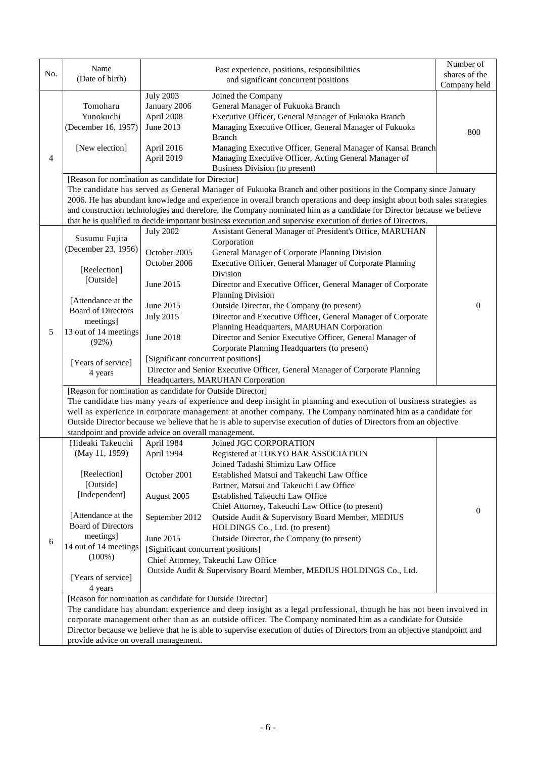| No.                                                  | Name                                                                                                                                                                            |                                                                                                                     | Past experience, positions, responsibilities                                                                    | Number of     |  |  |  |  |
|------------------------------------------------------|---------------------------------------------------------------------------------------------------------------------------------------------------------------------------------|---------------------------------------------------------------------------------------------------------------------|-----------------------------------------------------------------------------------------------------------------|---------------|--|--|--|--|
|                                                      | (Date of birth)                                                                                                                                                                 |                                                                                                                     | and significant concurrent positions                                                                            | shares of the |  |  |  |  |
|                                                      |                                                                                                                                                                                 |                                                                                                                     |                                                                                                                 | Company held  |  |  |  |  |
|                                                      | Tomoharu                                                                                                                                                                        | <b>July 2003</b><br>January 2006                                                                                    | Joined the Company<br>General Manager of Fukuoka Branch                                                         |               |  |  |  |  |
|                                                      | Yunokuchi                                                                                                                                                                       |                                                                                                                     |                                                                                                                 |               |  |  |  |  |
|                                                      |                                                                                                                                                                                 | April 2008<br>June 2013                                                                                             | Executive Officer, General Manager of Fukuoka Branch                                                            |               |  |  |  |  |
|                                                      | (December 16, 1957)                                                                                                                                                             |                                                                                                                     | Managing Executive Officer, General Manager of Fukuoka<br><b>Branch</b>                                         | 800           |  |  |  |  |
|                                                      | [New election]                                                                                                                                                                  |                                                                                                                     | Managing Executive Officer, General Manager of Kansai Branch                                                    |               |  |  |  |  |
| 4                                                    |                                                                                                                                                                                 | April 2016<br>April 2019                                                                                            | Managing Executive Officer, Acting General Manager of                                                           |               |  |  |  |  |
|                                                      |                                                                                                                                                                                 |                                                                                                                     | Business Division (to present)                                                                                  |               |  |  |  |  |
|                                                      | [Reason for nomination as candidate for Director]                                                                                                                               |                                                                                                                     |                                                                                                                 |               |  |  |  |  |
|                                                      | The candidate has served as General Manager of Fukuoka Branch and other positions in the Company since January                                                                  |                                                                                                                     |                                                                                                                 |               |  |  |  |  |
|                                                      | 2006. He has abundant knowledge and experience in overall branch operations and deep insight about both sales strategies                                                        |                                                                                                                     |                                                                                                                 |               |  |  |  |  |
|                                                      | and construction technologies and therefore, the Company nominated him as a candidate for Director because we believe                                                           |                                                                                                                     |                                                                                                                 |               |  |  |  |  |
|                                                      | that he is qualified to decide important business execution and supervise execution of duties of Directors.                                                                     |                                                                                                                     |                                                                                                                 |               |  |  |  |  |
|                                                      |                                                                                                                                                                                 | <b>July 2002</b>                                                                                                    | Assistant General Manager of President's Office, MARUHAN                                                        |               |  |  |  |  |
|                                                      | Susumu Fujita                                                                                                                                                                   |                                                                                                                     | Corporation                                                                                                     |               |  |  |  |  |
|                                                      | (December 23, 1956)                                                                                                                                                             | October 2005                                                                                                        | General Manager of Corporate Planning Division                                                                  |               |  |  |  |  |
|                                                      |                                                                                                                                                                                 | October 2006                                                                                                        | Executive Officer, General Manager of Corporate Planning                                                        |               |  |  |  |  |
|                                                      | [Reelection]                                                                                                                                                                    |                                                                                                                     | Division                                                                                                        |               |  |  |  |  |
|                                                      | [Outside]                                                                                                                                                                       | June 2015                                                                                                           | Director and Executive Officer, General Manager of Corporate                                                    |               |  |  |  |  |
|                                                      |                                                                                                                                                                                 |                                                                                                                     | Planning Division                                                                                               |               |  |  |  |  |
|                                                      | [Attendance at the                                                                                                                                                              | June 2015                                                                                                           | Outside Director, the Company (to present)                                                                      | $\Omega$      |  |  |  |  |
|                                                      | <b>Board of Directors</b>                                                                                                                                                       | <b>July 2015</b>                                                                                                    | Director and Executive Officer, General Manager of Corporate                                                    |               |  |  |  |  |
|                                                      | meetings]                                                                                                                                                                       |                                                                                                                     | Planning Headquarters, MARUHAN Corporation                                                                      |               |  |  |  |  |
| 5                                                    | 13 out of 14 meetings                                                                                                                                                           | June 2018                                                                                                           | Director and Senior Executive Officer, General Manager of                                                       |               |  |  |  |  |
|                                                      | (92%)                                                                                                                                                                           |                                                                                                                     | Corporate Planning Headquarters (to present)                                                                    |               |  |  |  |  |
|                                                      |                                                                                                                                                                                 | [Significant concurrent positions]                                                                                  |                                                                                                                 |               |  |  |  |  |
|                                                      | [Years of service]<br>4 years                                                                                                                                                   | Director and Senior Executive Officer, General Manager of Corporate Planning                                        |                                                                                                                 |               |  |  |  |  |
|                                                      |                                                                                                                                                                                 |                                                                                                                     | Headquarters, MARUHAN Corporation                                                                               |               |  |  |  |  |
|                                                      |                                                                                                                                                                                 | [Reason for nomination as candidate for Outside Director]                                                           |                                                                                                                 |               |  |  |  |  |
|                                                      |                                                                                                                                                                                 |                                                                                                                     | The candidate has many years of experience and deep insight in planning and execution of business strategies as |               |  |  |  |  |
|                                                      |                                                                                                                                                                                 |                                                                                                                     | well as experience in corporate management at another company. The Company nominated him as a candidate for     |               |  |  |  |  |
|                                                      |                                                                                                                                                                                 | Outside Director because we believe that he is able to supervise execution of duties of Directors from an objective |                                                                                                                 |               |  |  |  |  |
| standpoint and provide advice on overall management. |                                                                                                                                                                                 |                                                                                                                     |                                                                                                                 |               |  |  |  |  |
|                                                      | Hideaki Takeuchi                                                                                                                                                                | April 1984                                                                                                          | Joined JGC CORPORATION                                                                                          |               |  |  |  |  |
|                                                      | (May 11, 1959)                                                                                                                                                                  | April 1994                                                                                                          | Registered at TOKYO BAR ASSOCIATION                                                                             |               |  |  |  |  |
|                                                      |                                                                                                                                                                                 |                                                                                                                     | Joined Tadashi Shimizu Law Office                                                                               |               |  |  |  |  |
|                                                      | [Reelection]                                                                                                                                                                    | October 2001                                                                                                        | Established Matsui and Takeuchi Law Office                                                                      |               |  |  |  |  |
|                                                      | [Outside]                                                                                                                                                                       |                                                                                                                     | Partner, Matsui and Takeuchi Law Office                                                                         |               |  |  |  |  |
|                                                      | [Independent]                                                                                                                                                                   | August 2005                                                                                                         | Established Takeuchi Law Office                                                                                 |               |  |  |  |  |
|                                                      |                                                                                                                                                                                 |                                                                                                                     | Chief Attorney, Takeuchi Law Office (to present)                                                                | $\mathbf{0}$  |  |  |  |  |
|                                                      | [Attendance at the                                                                                                                                                              | September 2012                                                                                                      | Outside Audit & Supervisory Board Member, MEDIUS                                                                |               |  |  |  |  |
|                                                      | <b>Board of Directors</b>                                                                                                                                                       |                                                                                                                     | HOLDINGS Co., Ltd. (to present)                                                                                 |               |  |  |  |  |
| 6                                                    | meetings]<br>14 out of 14 meetings                                                                                                                                              | June 2015                                                                                                           | Outside Director, the Company (to present)                                                                      |               |  |  |  |  |
|                                                      | $(100\%)$                                                                                                                                                                       | [Significant concurrent positions]                                                                                  |                                                                                                                 |               |  |  |  |  |
|                                                      |                                                                                                                                                                                 | Chief Attorney, Takeuchi Law Office                                                                                 |                                                                                                                 |               |  |  |  |  |
|                                                      | [Years of service]                                                                                                                                                              |                                                                                                                     | Outside Audit & Supervisory Board Member, MEDIUS HOLDINGS Co., Ltd.                                             |               |  |  |  |  |
|                                                      | 4 years                                                                                                                                                                         |                                                                                                                     |                                                                                                                 |               |  |  |  |  |
|                                                      |                                                                                                                                                                                 |                                                                                                                     |                                                                                                                 |               |  |  |  |  |
|                                                      | [Reason for nomination as candidate for Outside Director]<br>The candidate has abundant experience and deep insight as a legal professional, though he has not been involved in |                                                                                                                     |                                                                                                                 |               |  |  |  |  |
|                                                      | corporate management other than as an outside officer. The Company nominated him as a candidate for Outside                                                                     |                                                                                                                     |                                                                                                                 |               |  |  |  |  |
|                                                      | Director because we believe that he is able to supervise execution of duties of Directors from an objective standpoint and                                                      |                                                                                                                     |                                                                                                                 |               |  |  |  |  |
|                                                      | provide advice on overall management.                                                                                                                                           |                                                                                                                     |                                                                                                                 |               |  |  |  |  |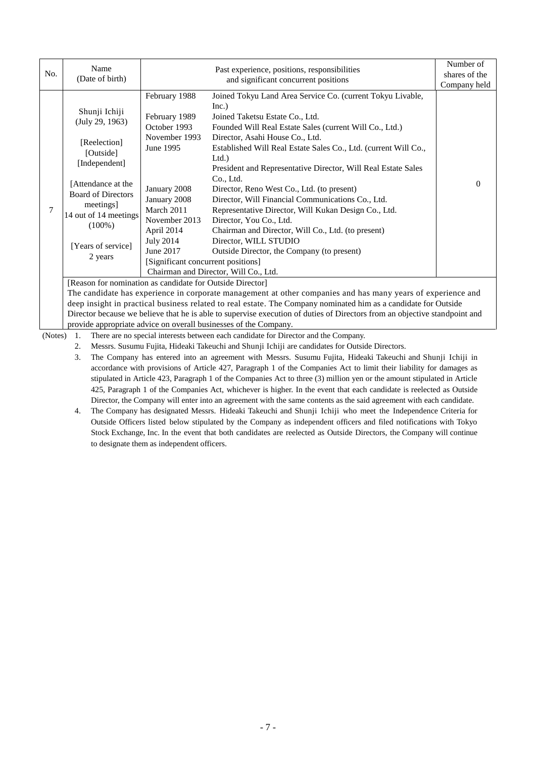| No. | Name<br>(Date of birth)                                                                                                                                                                                                                                                            |                                                                                                                                                                                                                                  | Past experience, positions, responsibilities<br>and significant concurrent positions                                                                                                                                                                                                                                                                                                                                                                                                                                                                                                                                                                                                                                                                                                                                                                                                                                                                         | Number of<br>shares of the<br>Company held |
|-----|------------------------------------------------------------------------------------------------------------------------------------------------------------------------------------------------------------------------------------------------------------------------------------|----------------------------------------------------------------------------------------------------------------------------------------------------------------------------------------------------------------------------------|--------------------------------------------------------------------------------------------------------------------------------------------------------------------------------------------------------------------------------------------------------------------------------------------------------------------------------------------------------------------------------------------------------------------------------------------------------------------------------------------------------------------------------------------------------------------------------------------------------------------------------------------------------------------------------------------------------------------------------------------------------------------------------------------------------------------------------------------------------------------------------------------------------------------------------------------------------------|--------------------------------------------|
|     | Shunji Ichiji<br>(July 29, 1963)<br>[Reelection]<br>[Outside]<br>[Independent]<br>[Attendance at the<br><b>Board of Directors</b><br>meetings]<br>14 out of 14 meetings<br>$(100\%)$<br>[Years of service]<br>2 years<br>[Reason for nomination as candidate for Outside Director] | February 1988<br>February 1989<br>October 1993<br>November 1993<br>June 1995<br>January 2008<br>January 2008<br>March 2011<br>November 2013<br>April 2014<br><b>July 2014</b><br>June 2017<br>[Significant concurrent positions] | Joined Tokyu Land Area Service Co. (current Tokyu Livable,<br>Inc.)<br>Joined Taketsu Estate Co., Ltd.<br>Founded Will Real Estate Sales (current Will Co., Ltd.)<br>Director, Asahi House Co., Ltd.<br>Established Will Real Estate Sales Co., Ltd. (current Will Co.,<br>Ltd.<br>President and Representative Director, Will Real Estate Sales<br>Co., Ltd.<br>Director, Reno West Co., Ltd. (to present)<br>Director, Will Financial Communications Co., Ltd.<br>Representative Director, Will Kukan Design Co., Ltd.<br>Director, You Co., Ltd.<br>Chairman and Director, Will Co., Ltd. (to present)<br>Director, WILL STUDIO<br>Outside Director, the Company (to present)<br>Chairman and Director, Will Co., Ltd.<br>The candidate has experience in corporate management at other companies and has many years of experience and<br>deep insight in practical business related to real estate. The Company nominated him as a candidate for Outside | $\Omega$                                   |

Director because we believe that he is able to supervise execution of duties of Directors from an objective standpoint and provide appropriate advice on overall businesses of the Company.

(Notes) 1. There are no special interests between each candidate for Director and the Company.

2. Messrs. Susumu Fujita, Hideaki Takeuchi and Shunji Ichiji are candidates for Outside Directors.

- 3. The Company has entered into an agreement with Messrs. Susumu Fujita, Hideaki Takeuchi and Shunji Ichiji in accordance with provisions of Article 427, Paragraph 1 of the Companies Act to limit their liability for damages as stipulated in Article 423, Paragraph 1 of the Companies Act to three (3) million yen or the amount stipulated in Article 425, Paragraph 1 of the Companies Act, whichever is higher. In the event that each candidate is reelected as Outside Director, the Company will enter into an agreement with the same contents as the said agreement with each candidate.
- 4. The Company has designated Messrs. Hideaki Takeuchi and Shunji Ichiji who meet the Independence Criteria for Outside Officers listed below stipulated by the Company as independent officers and filed notifications with Tokyo Stock Exchange, Inc. In the event that both candidates are reelected as Outside Directors, the Company will continue to designate them as independent officers.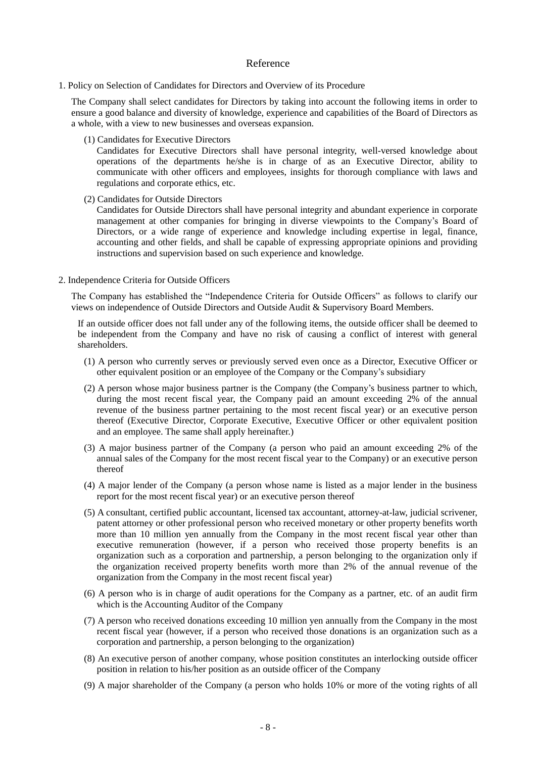### Reference

1. Policy on Selection of Candidates for Directors and Overview of its Procedure

The Company shall select candidates for Directors by taking into account the following items in order to ensure a good balance and diversity of knowledge, experience and capabilities of the Board of Directors as a whole, with a view to new businesses and overseas expansion.

(1) Candidates for Executive Directors

Candidates for Executive Directors shall have personal integrity, well-versed knowledge about operations of the departments he/she is in charge of as an Executive Director, ability to communicate with other officers and employees, insights for thorough compliance with laws and regulations and corporate ethics, etc.

(2) Candidates for Outside Directors

Candidates for Outside Directors shall have personal integrity and abundant experience in corporate management at other companies for bringing in diverse viewpoints to the Company's Board of Directors, or a wide range of experience and knowledge including expertise in legal, finance, accounting and other fields, and shall be capable of expressing appropriate opinions and providing instructions and supervision based on such experience and knowledge.

2. Independence Criteria for Outside Officers

The Company has established the "Independence Criteria for Outside Officers" as follows to clarify our views on independence of Outside Directors and Outside Audit & Supervisory Board Members.

If an outside officer does not fall under any of the following items, the outside officer shall be deemed to be independent from the Company and have no risk of causing a conflict of interest with general shareholders.

- (1) A person who currently serves or previously served even once as a Director, Executive Officer or other equivalent position or an employee of the Company or the Company's subsidiary
- (2) A person whose major business partner is the Company (the Company's business partner to which, during the most recent fiscal year, the Company paid an amount exceeding 2% of the annual revenue of the business partner pertaining to the most recent fiscal year) or an executive person thereof (Executive Director, Corporate Executive, Executive Officer or other equivalent position and an employee. The same shall apply hereinafter.)
- (3) A major business partner of the Company (a person who paid an amount exceeding 2% of the annual sales of the Company for the most recent fiscal year to the Company) or an executive person thereof
- (4) A major lender of the Company (a person whose name is listed as a major lender in the business report for the most recent fiscal year) or an executive person thereof
- (5) A consultant, certified public accountant, licensed tax accountant, attorney-at-law, judicial scrivener, patent attorney or other professional person who received monetary or other property benefits worth more than 10 million yen annually from the Company in the most recent fiscal year other than executive remuneration (however, if a person who received those property benefits is an organization such as a corporation and partnership, a person belonging to the organization only if the organization received property benefits worth more than 2% of the annual revenue of the organization from the Company in the most recent fiscal year)
- (6) A person who is in charge of audit operations for the Company as a partner, etc. of an audit firm which is the Accounting Auditor of the Company
- (7) A person who received donations exceeding 10 million yen annually from the Company in the most recent fiscal year (however, if a person who received those donations is an organization such as a corporation and partnership, a person belonging to the organization)
- (8) An executive person of another company, whose position constitutes an interlocking outside officer position in relation to his/her position as an outside officer of the Company
- (9) A major shareholder of the Company (a person who holds 10% or more of the voting rights of all